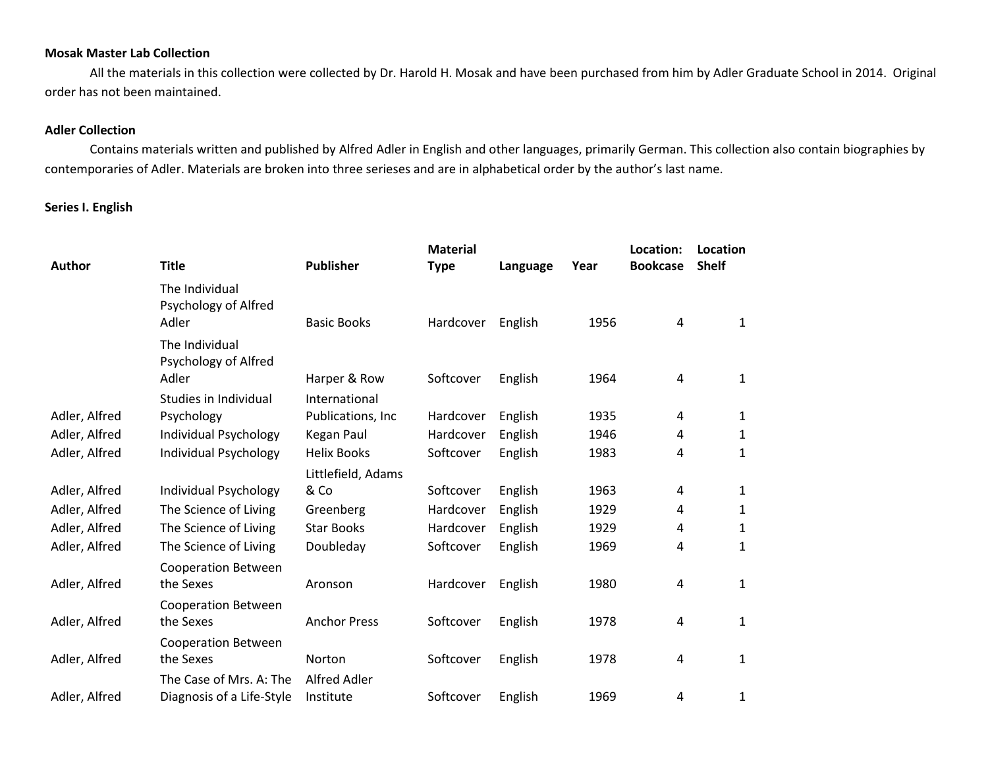#### **Mosak Master Lab Collection**

All the materials in this collection were collected by Dr. Harold H. Mosak and have been purchased from him by Adler Graduate School in 2014. Original order has not been maintained.

### **Adler Collection**

Contains materials written and published by Alfred Adler in English and other languages, primarily German. This collection also contain biographies by contemporaries of Adler. Materials are broken into three serieses and are in alphabetical order by the author's last name.

#### **Series I. English**

| Author        | <b>Title</b>                                         | <b>Publisher</b>          | <b>Material</b><br><b>Type</b> | Language | Year | Location:<br><b>Bookcase</b> | Location<br><b>Shelf</b> |
|---------------|------------------------------------------------------|---------------------------|--------------------------------|----------|------|------------------------------|--------------------------|
|               | The Individual<br>Psychology of Alfred<br>Adler      | <b>Basic Books</b>        | Hardcover                      | English  | 1956 | $\overline{a}$               | 1                        |
|               | The Individual<br>Psychology of Alfred<br>Adler      | Harper & Row              | Softcover                      | English  | 1964 | 4                            | 1                        |
|               | Studies in Individual                                | International             |                                |          |      |                              |                          |
| Adler, Alfred | Psychology                                           | Publications, Inc         | Hardcover                      | English  | 1935 | 4                            | 1                        |
| Adler, Alfred | Individual Psychology                                | Kegan Paul                | Hardcover                      | English  | 1946 | 4                            | 1                        |
| Adler, Alfred | Individual Psychology                                | <b>Helix Books</b>        | Softcover                      | English  | 1983 | 4                            | 1                        |
|               |                                                      | Littlefield, Adams        |                                |          |      |                              |                          |
| Adler, Alfred | Individual Psychology                                | & Co                      | Softcover                      | English  | 1963 | 4                            | 1                        |
| Adler, Alfred | The Science of Living                                | Greenberg                 | Hardcover                      | English  | 1929 | 4                            | 1                        |
| Adler, Alfred | The Science of Living                                | <b>Star Books</b>         | Hardcover                      | English  | 1929 | 4                            | 1                        |
| Adler, Alfred | The Science of Living                                | Doubleday                 | Softcover                      | English  | 1969 | 4                            | 1                        |
| Adler, Alfred | <b>Cooperation Between</b><br>the Sexes              | Aronson                   | Hardcover                      | English  | 1980 | 4                            | 1                        |
| Adler, Alfred | <b>Cooperation Between</b><br>the Sexes              | <b>Anchor Press</b>       | Softcover                      | English  | 1978 | 4                            | 1                        |
| Adler, Alfred | <b>Cooperation Between</b><br>the Sexes              | Norton                    | Softcover                      | English  | 1978 | 4                            | 1                        |
| Adler, Alfred | The Case of Mrs. A: The<br>Diagnosis of a Life-Style | Alfred Adler<br>Institute | Softcover                      | English  | 1969 | 4                            | 1                        |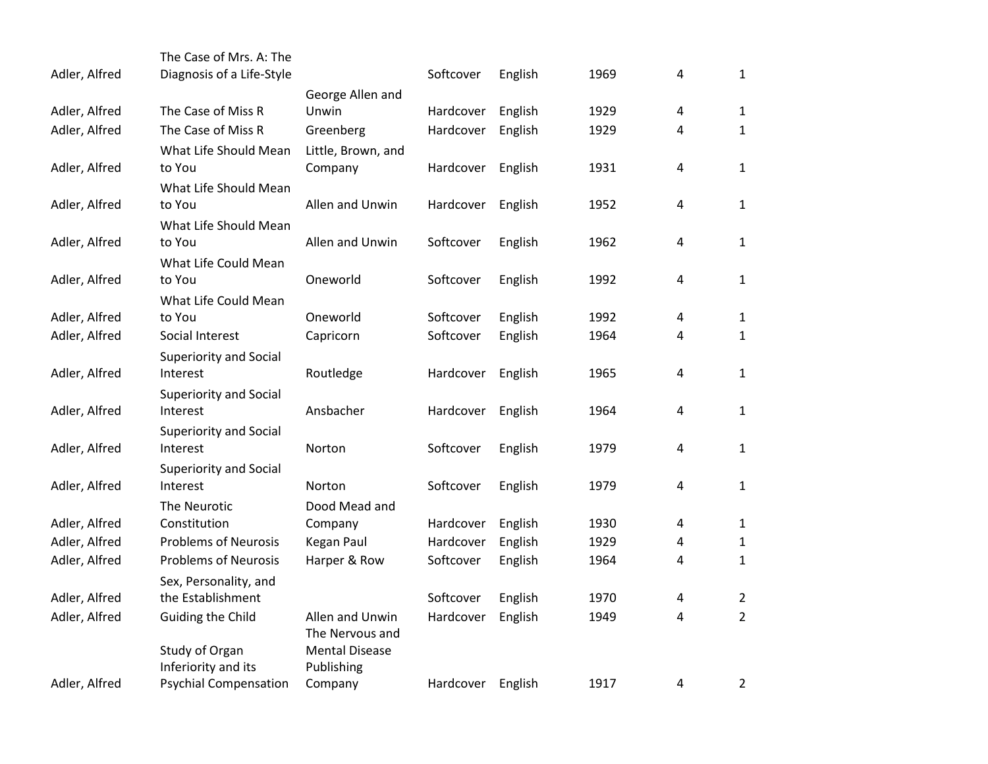|               | The Case of Mrs. A: The                    |                       |           |         |      |   |                                  |
|---------------|--------------------------------------------|-----------------------|-----------|---------|------|---|----------------------------------|
| Adler, Alfred | Diagnosis of a Life-Style                  |                       | Softcover | English | 1969 | 4 | $\mathbf{1}$                     |
|               |                                            | George Allen and      |           |         |      |   |                                  |
| Adler, Alfred | The Case of Miss R                         | Unwin                 | Hardcover | English | 1929 | 4 | $\mathbf{1}$                     |
| Adler, Alfred | The Case of Miss R                         | Greenberg             | Hardcover | English | 1929 | 4 | $\mathbf{1}$                     |
|               | What Life Should Mean                      | Little, Brown, and    |           |         |      |   |                                  |
| Adler, Alfred | to You                                     | Company               | Hardcover | English | 1931 | 4 | $\mathbf{1}$                     |
|               | What Life Should Mean                      |                       |           |         |      |   |                                  |
| Adler, Alfred | to You                                     | Allen and Unwin       | Hardcover | English | 1952 | 4 | $\mathbf{1}$                     |
|               | What Life Should Mean                      |                       |           |         |      |   |                                  |
| Adler, Alfred | to You                                     | Allen and Unwin       | Softcover | English | 1962 | 4 | $\mathbf 1$                      |
|               | What Life Could Mean                       |                       |           |         |      |   |                                  |
| Adler, Alfred | to You                                     | Oneworld              | Softcover | English | 1992 | 4 | $\mathbf 1$                      |
|               | What Life Could Mean                       |                       |           |         |      |   |                                  |
| Adler, Alfred | to You                                     | Oneworld              | Softcover | English | 1992 | 4 | $\mathbf{1}$                     |
| Adler, Alfred | Social Interest                            | Capricorn             | Softcover | English | 1964 | 4 | $\mathbf{1}$                     |
|               | <b>Superiority and Social</b>              |                       |           |         |      |   |                                  |
| Adler, Alfred | Interest                                   | Routledge             | Hardcover | English | 1965 | 4 | $\mathbf 1$                      |
|               | <b>Superiority and Social</b>              |                       |           |         |      |   |                                  |
| Adler, Alfred | Interest                                   | Ansbacher             | Hardcover | English | 1964 | 4 | $\mathbf{1}$                     |
|               | <b>Superiority and Social</b>              |                       |           |         |      |   |                                  |
| Adler, Alfred | Interest                                   | Norton                | Softcover | English | 1979 | 4 | $\mathbf 1$                      |
|               | <b>Superiority and Social</b>              |                       |           |         |      |   |                                  |
| Adler, Alfred | Interest                                   | Norton                | Softcover | English | 1979 | 4 | $\mathbf{1}$                     |
|               | The Neurotic                               | Dood Mead and         |           |         |      |   |                                  |
| Adler, Alfred | Constitution                               | Company               | Hardcover | English | 1930 | 4 | $\mathbf{1}$                     |
| Adler, Alfred | <b>Problems of Neurosis</b>                | Kegan Paul            | Hardcover | English | 1929 | 4 | $\mathbf{1}$                     |
| Adler, Alfred | <b>Problems of Neurosis</b>                | Harper & Row          | Softcover | English | 1964 | 4 | $\mathbf{1}$                     |
|               | Sex, Personality, and<br>the Establishment |                       | Softcover |         | 1970 |   |                                  |
| Adler, Alfred |                                            | Allen and Unwin       | Hardcover | English |      | 4 | $\overline{2}$<br>$\overline{2}$ |
| Adler, Alfred | Guiding the Child                          | The Nervous and       |           | English | 1949 | 4 |                                  |
|               | Study of Organ                             | <b>Mental Disease</b> |           |         |      |   |                                  |
|               | Inferiority and its                        | Publishing            |           |         |      |   |                                  |
| Adler, Alfred | <b>Psychial Compensation</b>               | Company               | Hardcover | English | 1917 | 4 | $\overline{2}$                   |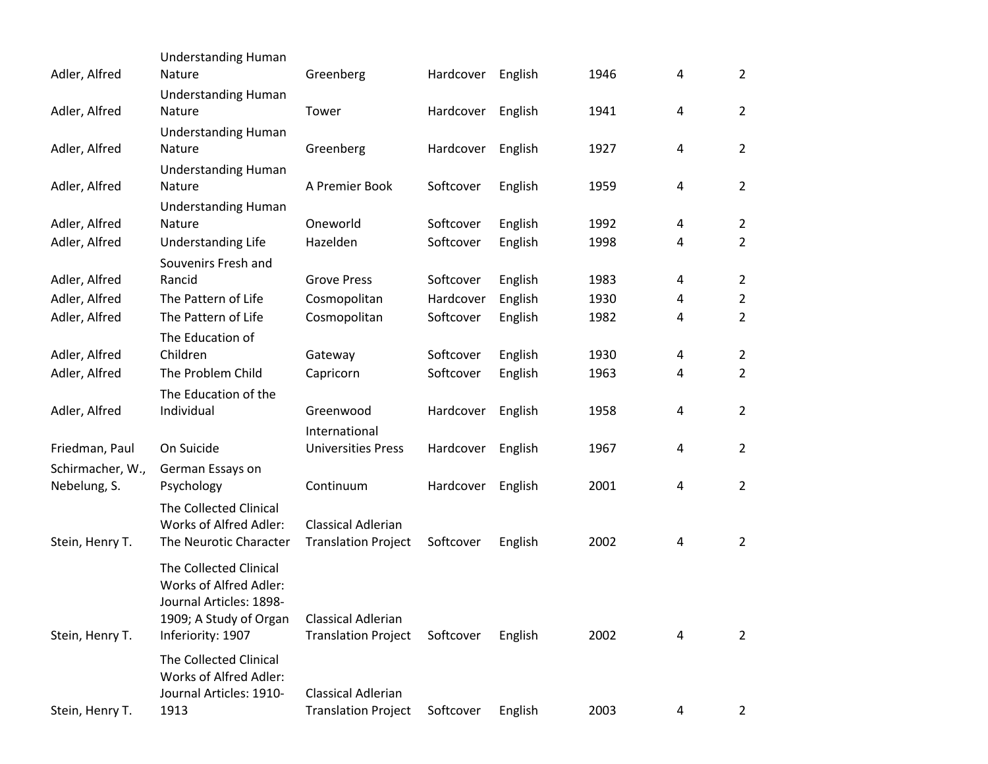| Adler, Alfred                    | <b>Understanding Human</b><br>Nature | Greenberg                  | Hardcover | English | 1946 | 4 | $\overline{2}$ |
|----------------------------------|--------------------------------------|----------------------------|-----------|---------|------|---|----------------|
| Adler, Alfred                    | <b>Understanding Human</b><br>Nature | Tower                      | Hardcover | English | 1941 | 4 | $\overline{2}$ |
|                                  | <b>Understanding Human</b>           |                            |           |         |      |   |                |
| Adler, Alfred                    | Nature                               | Greenberg                  | Hardcover | English | 1927 | 4 | $\overline{2}$ |
| Adler, Alfred                    | <b>Understanding Human</b><br>Nature | A Premier Book             | Softcover | English | 1959 | 4 | $\overline{2}$ |
|                                  | <b>Understanding Human</b>           |                            |           |         |      |   |                |
| Adler, Alfred                    | Nature                               | Oneworld                   | Softcover | English | 1992 | 4 | $\overline{2}$ |
| Adler, Alfred                    | Understanding Life                   | Hazelden                   | Softcover | English | 1998 | 4 | $\overline{2}$ |
|                                  | Souvenirs Fresh and                  |                            |           |         |      |   |                |
| Adler, Alfred                    | Rancid                               | <b>Grove Press</b>         | Softcover | English | 1983 | 4 | $\overline{2}$ |
| Adler, Alfred                    | The Pattern of Life                  | Cosmopolitan               | Hardcover | English | 1930 | 4 | $\overline{2}$ |
| Adler, Alfred                    | The Pattern of Life                  | Cosmopolitan               | Softcover | English | 1982 | 4 | $\overline{2}$ |
|                                  | The Education of                     |                            |           |         |      |   |                |
| Adler, Alfred                    | Children                             | Gateway                    | Softcover | English | 1930 | 4 | $\overline{2}$ |
| Adler, Alfred                    | The Problem Child                    | Capricorn                  | Softcover | English | 1963 | 4 | $\overline{2}$ |
|                                  | The Education of the                 |                            |           |         |      |   |                |
| Adler, Alfred                    | Individual                           | Greenwood                  | Hardcover | English | 1958 | 4 | 2              |
|                                  |                                      | International              |           |         |      |   |                |
| Friedman, Paul                   | On Suicide                           | <b>Universities Press</b>  | Hardcover | English | 1967 | 4 | $\overline{2}$ |
| Schirmacher, W.,<br>Nebelung, S. | German Essays on<br>Psychology       | Continuum                  | Hardcover | English | 2001 | 4 | $\overline{2}$ |
|                                  | The Collected Clinical               |                            |           |         |      |   |                |
|                                  | Works of Alfred Adler:               | <b>Classical Adlerian</b>  |           |         |      |   |                |
| Stein, Henry T.                  | The Neurotic Character               | <b>Translation Project</b> | Softcover | English | 2002 | 4 | $\overline{2}$ |
|                                  | The Collected Clinical               |                            |           |         |      |   |                |
|                                  | Works of Alfred Adler:               |                            |           |         |      |   |                |
|                                  | Journal Articles: 1898-              |                            |           |         |      |   |                |
|                                  | 1909; A Study of Organ               | Classical Adlerian         |           |         |      |   |                |
| Stein, Henry T.                  | Inferiority: 1907                    | <b>Translation Project</b> | Softcover | English | 2002 | 4 | $\overline{2}$ |
|                                  | The Collected Clinical               |                            |           |         |      |   |                |
|                                  | Works of Alfred Adler:               |                            |           |         |      |   |                |
|                                  | Journal Articles: 1910-              | <b>Classical Adlerian</b>  |           |         |      |   |                |
| Stein, Henry T.                  | 1913                                 | <b>Translation Project</b> | Softcover | English | 2003 | 4 | $\overline{2}$ |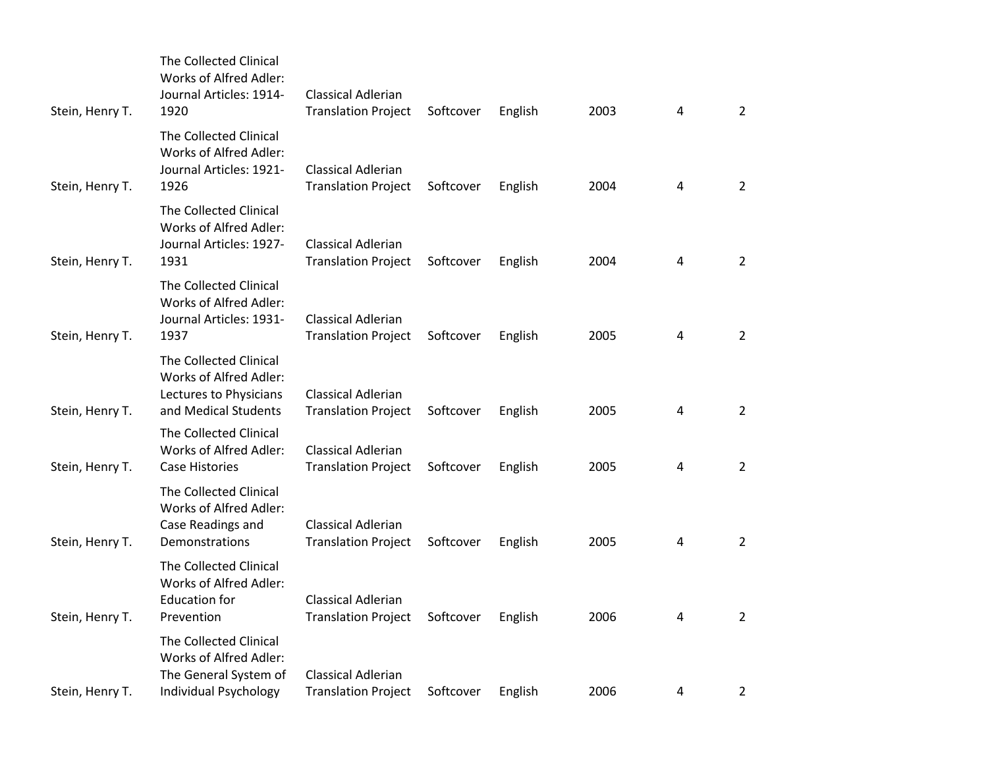| Stein, Henry T. | The Collected Clinical<br>Works of Alfred Adler:<br>Journal Articles: 1914-<br>1920                | <b>Classical Adlerian</b><br><b>Translation Project</b> | Softcover | English | 2003 | 4              | $\overline{2}$ |
|-----------------|----------------------------------------------------------------------------------------------------|---------------------------------------------------------|-----------|---------|------|----------------|----------------|
| Stein, Henry T. | The Collected Clinical<br>Works of Alfred Adler:<br>Journal Articles: 1921-<br>1926                | Classical Adlerian<br><b>Translation Project</b>        | Softcover | English | 2004 | $\overline{4}$ | $\overline{2}$ |
| Stein, Henry T. | The Collected Clinical<br>Works of Alfred Adler:<br>Journal Articles: 1927-<br>1931                | <b>Classical Adlerian</b><br><b>Translation Project</b> | Softcover | English | 2004 | 4              | $\overline{2}$ |
| Stein, Henry T. | The Collected Clinical<br>Works of Alfred Adler:<br>Journal Articles: 1931-<br>1937                | <b>Classical Adlerian</b><br><b>Translation Project</b> | Softcover | English | 2005 | 4              | $\overline{2}$ |
| Stein, Henry T. | The Collected Clinical<br>Works of Alfred Adler:<br>Lectures to Physicians<br>and Medical Students | Classical Adlerian<br><b>Translation Project</b>        | Softcover | English | 2005 | 4              | $\overline{2}$ |
| Stein, Henry T. | The Collected Clinical<br>Works of Alfred Adler:<br><b>Case Histories</b>                          | <b>Classical Adlerian</b><br><b>Translation Project</b> | Softcover | English | 2005 | 4              | $\overline{2}$ |
| Stein, Henry T. | The Collected Clinical<br>Works of Alfred Adler:<br>Case Readings and<br>Demonstrations            | <b>Classical Adlerian</b><br><b>Translation Project</b> | Softcover | English | 2005 | 4              | $\overline{2}$ |
| Stein, Henry T. | The Collected Clinical<br>Works of Alfred Adler:<br><b>Education for</b><br>Prevention             | <b>Classical Adlerian</b><br><b>Translation Project</b> | Softcover | English | 2006 | 4              | $\overline{2}$ |
|                 | <b>The Collected Clinical</b><br>Works of Alfred Adler:<br>The General System of                   | <b>Classical Adlerian</b>                               | Softcover |         | 2006 | 4              |                |
| Stein, Henry T. | Individual Psychology                                                                              | <b>Translation Project</b>                              |           | English |      |                | $\overline{2}$ |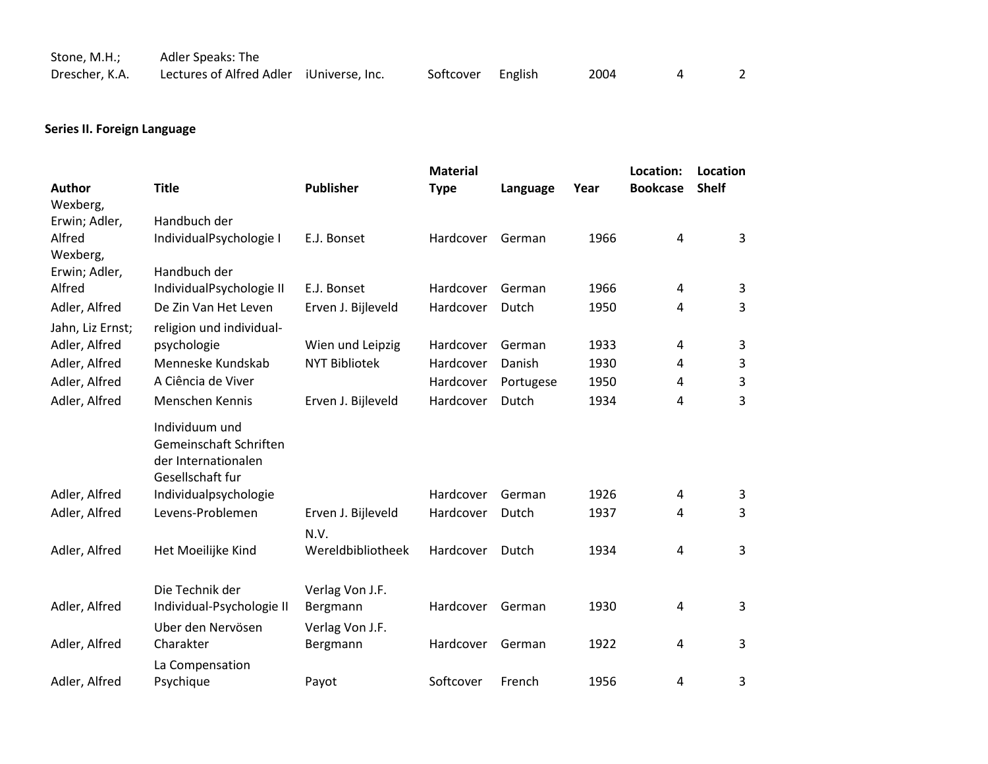| Stone, M.H.;   | Adler Speaks: The                        |                   |      |  |
|----------------|------------------------------------------|-------------------|------|--|
| Drescher, K.A. | Lectures of Alfred Adler iUniverse, Inc. | Softcover English | 2004 |  |

# **Series II. Foreign Language**

|                  |                                          |                      | <b>Material</b> |           |      | Location:       | Location       |
|------------------|------------------------------------------|----------------------|-----------------|-----------|------|-----------------|----------------|
| <b>Author</b>    | <b>Title</b>                             | <b>Publisher</b>     | <b>Type</b>     | Language  | Year | <b>Bookcase</b> | <b>Shelf</b>   |
| Wexberg,         |                                          |                      |                 |           |      |                 |                |
| Erwin; Adler,    | Handbuch der                             |                      |                 |           |      |                 |                |
| Alfred           | IndividualPsychologie I                  | E.J. Bonset          | Hardcover       | German    | 1966 | 4               | $\overline{3}$ |
| Wexberg,         |                                          |                      |                 |           |      |                 |                |
| Erwin; Adler,    | Handbuch der                             |                      |                 |           |      |                 |                |
| Alfred           | IndividualPsychologie II                 | E.J. Bonset          | Hardcover       | German    | 1966 | 4               | 3              |
| Adler, Alfred    | De Zin Van Het Leven                     | Erven J. Bijleveld   | Hardcover       | Dutch     | 1950 | 4               | 3              |
| Jahn, Liz Ernst; | religion und individual-                 |                      |                 |           |      |                 |                |
| Adler, Alfred    | psychologie                              | Wien und Leipzig     | Hardcover       | German    | 1933 | 4               | 3              |
| Adler, Alfred    | Menneske Kundskab                        | <b>NYT Bibliotek</b> | Hardcover       | Danish    | 1930 | 4               | 3              |
| Adler, Alfred    | A Ciência de Viver                       |                      | Hardcover       | Portugese | 1950 | 4               | 3              |
| Adler, Alfred    | Menschen Kennis                          | Erven J. Bijleveld   | Hardcover       | Dutch     | 1934 | 4               | 3              |
|                  | Individuum und<br>Gemeinschaft Schriften |                      |                 |           |      |                 |                |
|                  | der Internationalen                      |                      |                 |           |      |                 |                |
|                  | Gesellschaft fur                         |                      |                 |           | 1926 |                 |                |
| Adler, Alfred    | Individualpsychologie                    |                      | Hardcover       | German    |      | 4               | 3              |
| Adler, Alfred    | Levens-Problemen                         | Erven J. Bijleveld   | Hardcover       | Dutch     | 1937 | 4               | 3              |
|                  |                                          | N.V.                 |                 |           |      |                 |                |
| Adler, Alfred    | Het Moeilijke Kind                       | Wereldbibliotheek    | Hardcover       | Dutch     | 1934 | 4               | 3              |
|                  |                                          |                      |                 |           |      |                 |                |
|                  | Die Technik der                          | Verlag Von J.F.      |                 |           |      |                 |                |
| Adler, Alfred    | Individual-Psychologie II                | Bergmann             | Hardcover       | German    | 1930 | 4               | 3              |
|                  | Uber den Nervösen                        | Verlag Von J.F.      |                 |           |      |                 |                |
| Adler, Alfred    | Charakter                                | Bergmann             | Hardcover       | German    | 1922 | 4               | 3              |
|                  | La Compensation                          |                      |                 |           |      |                 |                |
| Adler, Alfred    | Psychique                                | Payot                | Softcover       | French    | 1956 | 4               | 3              |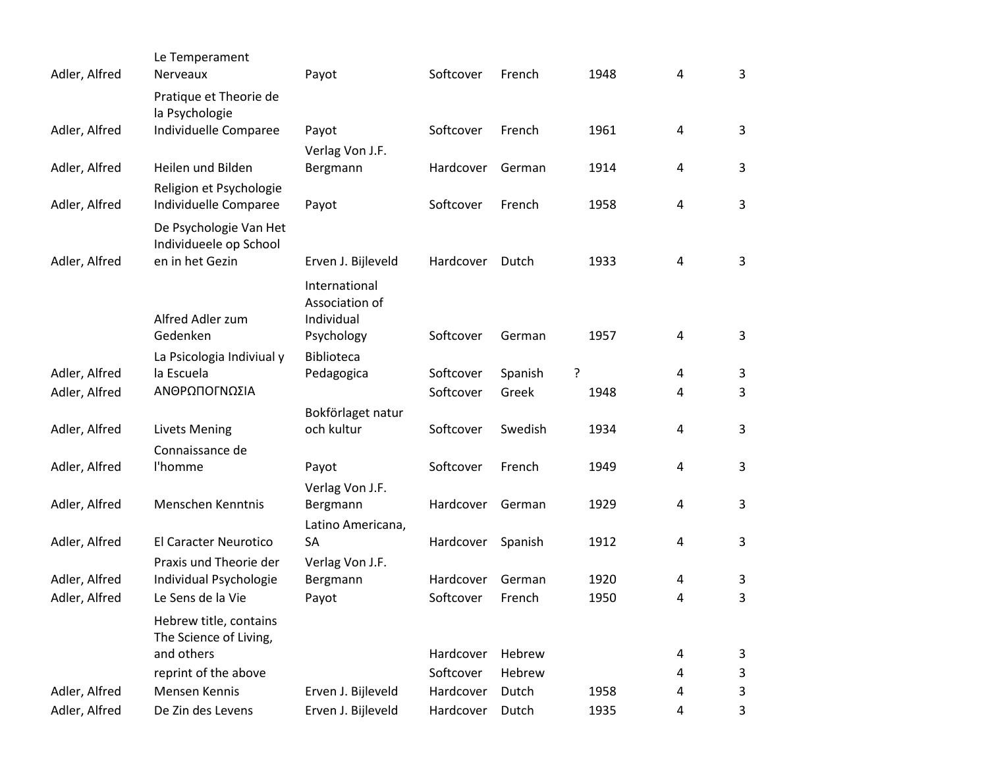| Adler, Alfred | Le Temperament<br>Nerveaux                       | Payot                           | Softcover | French  | 1948 | 4 | 3 |
|---------------|--------------------------------------------------|---------------------------------|-----------|---------|------|---|---|
|               | Pratique et Theorie de<br>la Psychologie         |                                 |           |         |      |   |   |
| Adler, Alfred | Individuelle Comparee                            | Payot                           | Softcover | French  | 1961 | 4 | 3 |
|               |                                                  | Verlag Von J.F.                 |           |         |      |   |   |
| Adler, Alfred | Heilen und Bilden                                | Bergmann                        | Hardcover | German  | 1914 | 4 | 3 |
| Adler, Alfred | Religion et Psychologie<br>Individuelle Comparee | Payot                           | Softcover | French  | 1958 | 4 | 3 |
|               | De Psychologie Van Het<br>Individueele op School |                                 |           |         |      |   |   |
| Adler, Alfred | en in het Gezin                                  | Erven J. Bijleveld              | Hardcover | Dutch   | 1933 | 4 | 3 |
|               |                                                  | International<br>Association of |           |         |      |   |   |
|               | Alfred Adler zum                                 | Individual                      |           |         |      |   |   |
|               | Gedenken                                         | Psychology                      | Softcover | German  | 1957 | 4 | 3 |
| Adler, Alfred | La Psicologia Indiviual y<br>la Escuela          | Biblioteca<br>Pedagogica        | Softcover | Spanish | ?    | 4 | 3 |
| Adler, Alfred | ΑΝΘΡΩΠΟΓΝΩΣΙΑ                                    |                                 | Softcover | Greek   | 1948 | 4 | 3 |
|               |                                                  | Bokförlaget natur               |           |         |      |   |   |
| Adler, Alfred | <b>Livets Mening</b>                             | och kultur                      | Softcover | Swedish | 1934 | 4 | 3 |
|               | Connaissance de                                  |                                 |           |         |      |   |   |
| Adler, Alfred | l'homme                                          | Payot                           | Softcover | French  | 1949 | 4 | 3 |
|               |                                                  | Verlag Von J.F.                 |           |         |      |   |   |
| Adler, Alfred | Menschen Kenntnis                                | Bergmann                        | Hardcover | German  | 1929 | 4 | 3 |
|               |                                                  | Latino Americana,               |           |         |      |   |   |
| Adler, Alfred | El Caracter Neurotico                            | SA                              | Hardcover | Spanish | 1912 | 4 | 3 |
|               | Praxis und Theorie der                           | Verlag Von J.F.                 |           |         |      |   |   |
| Adler, Alfred | Individual Psychologie                           | Bergmann                        | Hardcover | German  | 1920 | 4 | 3 |
| Adler, Alfred | Le Sens de la Vie                                | Payot                           | Softcover | French  | 1950 | 4 | 3 |
|               | Hebrew title, contains<br>The Science of Living, |                                 |           |         |      |   |   |
|               | and others                                       |                                 | Hardcover | Hebrew  |      | 4 | 3 |
|               | reprint of the above                             |                                 | Softcover | Hebrew  |      | 4 | 3 |
| Adler, Alfred | Mensen Kennis                                    | Erven J. Bijleveld              | Hardcover | Dutch   | 1958 | 4 | 3 |
| Adler, Alfred | De Zin des Levens                                | Erven J. Bijleveld              | Hardcover | Dutch   | 1935 | 4 | 3 |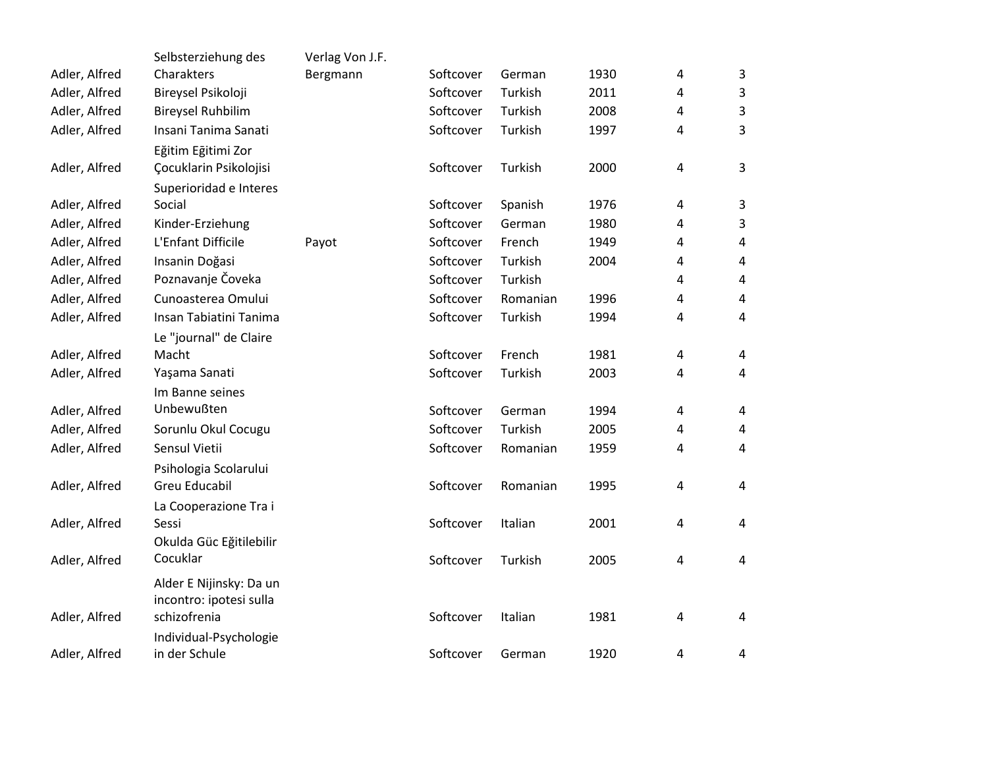|               | Selbsterziehung des      | Verlag Von J.F. |           |          |      |                |                         |
|---------------|--------------------------|-----------------|-----------|----------|------|----------------|-------------------------|
| Adler, Alfred | Charakters               | Bergmann        | Softcover | German   | 1930 | 4              | 3                       |
| Adler, Alfred | Bireysel Psikoloji       |                 | Softcover | Turkish  | 2011 | 4              | 3                       |
| Adler, Alfred | <b>Bireysel Ruhbilim</b> |                 | Softcover | Turkish  | 2008 | $\overline{4}$ | $\mathbf{3}$            |
| Adler, Alfred | Insani Tanima Sanati     |                 | Softcover | Turkish  | 1997 | 4              | $\overline{3}$          |
|               | Eğitim Eğitimi Zor       |                 |           |          |      |                |                         |
| Adler, Alfred | Çocuklarin Psikolojisi   |                 | Softcover | Turkish  | 2000 | 4              | $\overline{3}$          |
|               | Superioridad e Interes   |                 |           |          |      |                |                         |
| Adler, Alfred | Social                   |                 | Softcover | Spanish  | 1976 | 4              | 3                       |
| Adler, Alfred | Kinder-Erziehung         |                 | Softcover | German   | 1980 | 4              | 3                       |
| Adler, Alfred | L'Enfant Difficile       | Payot           | Softcover | French   | 1949 | 4              | 4                       |
| Adler, Alfred | Insanin Doğasi           |                 | Softcover | Turkish  | 2004 | 4              | $\overline{\mathbf{4}}$ |
| Adler, Alfred | Poznavanje Čoveka        |                 | Softcover | Turkish  |      | 4              | 4                       |
| Adler, Alfred | Cunoasterea Omului       |                 | Softcover | Romanian | 1996 | 4              | 4                       |
| Adler, Alfred | Insan Tabiatini Tanima   |                 | Softcover | Turkish  | 1994 | 4              | $\overline{4}$          |
|               | Le "journal" de Claire   |                 |           |          |      |                |                         |
| Adler, Alfred | Macht                    |                 | Softcover | French   | 1981 | 4              | 4                       |
| Adler, Alfred | Yaşama Sanati            |                 | Softcover | Turkish  | 2003 | 4              | 4                       |
|               | Im Banne seines          |                 |           |          |      |                |                         |
| Adler, Alfred | Unbewußten               |                 | Softcover | German   | 1994 | 4              | 4                       |
| Adler, Alfred | Sorunlu Okul Cocugu      |                 | Softcover | Turkish  | 2005 | 4              | 4                       |
| Adler, Alfred | Sensul Vietii            |                 | Softcover | Romanian | 1959 | 4              | 4                       |
|               | Psihologia Scolarului    |                 |           |          |      |                |                         |
| Adler, Alfred | Greu Educabil            |                 | Softcover | Romanian | 1995 | 4              | 4                       |
|               | La Cooperazione Tra i    |                 |           |          |      |                |                         |
| Adler, Alfred | Sessi                    |                 | Softcover | Italian  | 2001 | 4              | 4                       |
|               | Okulda Güc Eğitilebilir  |                 |           |          |      |                |                         |
| Adler, Alfred | Cocuklar                 |                 | Softcover | Turkish  | 2005 | 4              | $\overline{4}$          |
|               | Alder E Nijinsky: Da un  |                 |           |          |      |                |                         |
|               | incontro: ipotesi sulla  |                 |           |          |      |                |                         |
| Adler, Alfred | schizofrenia             |                 | Softcover | Italian  | 1981 | 4              | $\overline{4}$          |
|               | Individual-Psychologie   |                 |           |          |      |                |                         |
| Adler, Alfred | in der Schule            |                 | Softcover | German   | 1920 | 4              | 4                       |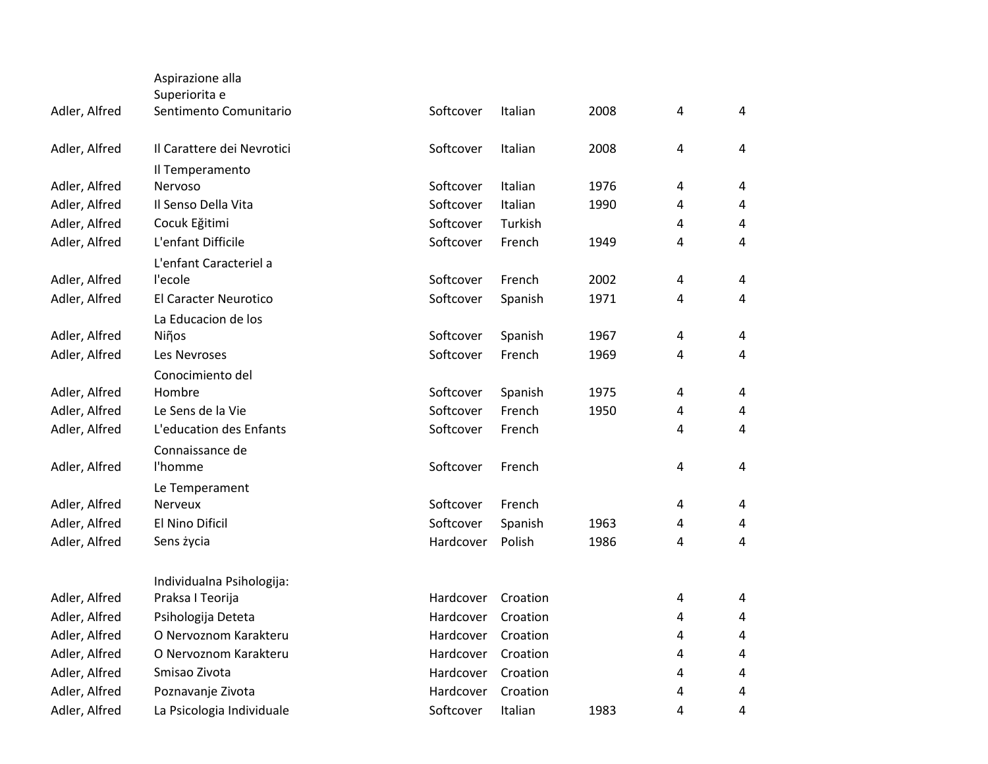|               | Aspirazione alla                        |           |          |      |                |                |
|---------------|-----------------------------------------|-----------|----------|------|----------------|----------------|
| Adler, Alfred | Superiorita e<br>Sentimento Comunitario | Softcover | Italian  | 2008 | $\sqrt{4}$     | 4              |
| Adler, Alfred | Il Carattere dei Nevrotici              | Softcover | Italian  | 2008 | $\overline{4}$ | 4              |
|               | Il Temperamento                         |           |          |      |                |                |
| Adler, Alfred | Nervoso                                 | Softcover | Italian  | 1976 | $\sqrt{4}$     | $\overline{4}$ |
| Adler, Alfred | Il Senso Della Vita                     | Softcover | Italian  | 1990 | 4              | 4              |
| Adler, Alfred | Cocuk Eğitimi                           | Softcover | Turkish  |      | $\sqrt{4}$     | 4              |
| Adler, Alfred | L'enfant Difficile                      | Softcover | French   | 1949 | 4              | 4              |
|               | L'enfant Caracteriel a                  |           |          |      |                |                |
| Adler, Alfred | l'ecole                                 | Softcover | French   | 2002 | $\sqrt{4}$     | 4              |
| Adler, Alfred | El Caracter Neurotico                   | Softcover | Spanish  | 1971 | $\overline{4}$ | 4              |
|               | La Educacion de los                     |           |          |      |                |                |
| Adler, Alfred | Niños                                   | Softcover | Spanish  | 1967 | $\sqrt{4}$     | 4              |
| Adler, Alfred | Les Nevroses                            | Softcover | French   | 1969 | 4              | 4              |
|               | Conocimiento del                        |           |          |      |                |                |
| Adler, Alfred | Hombre                                  | Softcover | Spanish  | 1975 | $\overline{4}$ | 4              |
| Adler, Alfred | Le Sens de la Vie                       | Softcover | French   | 1950 | 4              | $\overline{4}$ |
| Adler, Alfred | L'education des Enfants                 | Softcover | French   |      | 4              | 4              |
|               | Connaissance de                         |           |          |      |                |                |
| Adler, Alfred | l'homme                                 | Softcover | French   |      | 4              | 4              |
|               | Le Temperament                          |           |          |      |                |                |
| Adler, Alfred | <b>Nerveux</b>                          | Softcover | French   |      | $\sqrt{4}$     | 4              |
| Adler, Alfred | El Nino Dificil                         | Softcover | Spanish  | 1963 | 4              | 4              |
| Adler, Alfred | Sens życia                              | Hardcover | Polish   | 1986 | $\overline{4}$ | 4              |
|               | Individualna Psihologija:               |           |          |      |                |                |
| Adler, Alfred | Praksa I Teorija                        | Hardcover | Croation |      | $\pmb{4}$      | 4              |
| Adler, Alfred | Psihologija Deteta                      | Hardcover | Croation |      | $\overline{4}$ | $\overline{4}$ |
| Adler, Alfred | O Nervoznom Karakteru                   | Hardcover | Croation |      | $\overline{4}$ | 4              |
| Adler, Alfred | O Nervoznom Karakteru                   | Hardcover | Croation |      | 4              | 4              |
| Adler, Alfred | Smisao Zivota                           | Hardcover | Croation |      | 4              | $\overline{4}$ |
| Adler, Alfred | Poznavanje Zivota                       | Hardcover | Croation |      | 4              | 4              |
| Adler, Alfred | La Psicologia Individuale               | Softcover | Italian  | 1983 | 4              | 4              |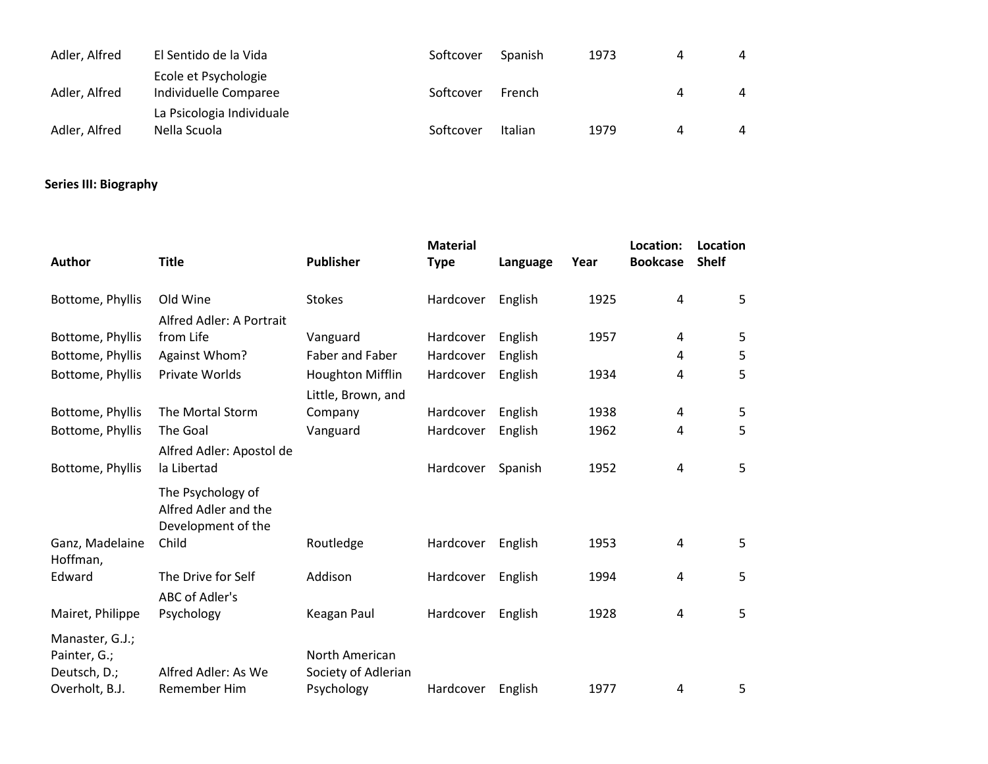| Adler, Alfred | El Sentido de la Vida                         | Softcover | Spanish        | 1973 | 4 | 4 |
|---------------|-----------------------------------------------|-----------|----------------|------|---|---|
| Adler, Alfred | Ecole et Psychologie<br>Individuelle Comparee | Softcover | French         |      | Д | 4 |
| Adler, Alfred | La Psicologia Individuale<br>Nella Scuola     | Softcover | <b>Italian</b> | 1979 |   | 4 |

## **Series III: Biography**

| <b>Author</b>                                                     | <b>Title</b>                                                    | <b>Publisher</b>                      | <b>Material</b><br><b>Type</b> | Language | Year | Location:<br><b>Bookcase</b> | Location<br><b>Shelf</b> |
|-------------------------------------------------------------------|-----------------------------------------------------------------|---------------------------------------|--------------------------------|----------|------|------------------------------|--------------------------|
| Bottome, Phyllis                                                  | Old Wine                                                        | <b>Stokes</b>                         | Hardcover                      | English  | 1925 | 4                            | 5                        |
|                                                                   | Alfred Adler: A Portrait                                        |                                       |                                |          |      |                              |                          |
| Bottome, Phyllis                                                  | from Life                                                       | Vanguard                              | Hardcover                      | English  | 1957 | 4                            | 5                        |
| Bottome, Phyllis                                                  | Against Whom?                                                   | Faber and Faber                       | Hardcover                      | English  |      | 4                            | 5                        |
| Bottome, Phyllis                                                  | Private Worlds                                                  | <b>Houghton Mifflin</b>               | Hardcover                      | English  | 1934 | 4                            | 5                        |
|                                                                   |                                                                 | Little, Brown, and                    |                                |          |      |                              |                          |
| Bottome, Phyllis                                                  | The Mortal Storm                                                | Company                               | Hardcover                      | English  | 1938 | 4                            | 5                        |
| Bottome, Phyllis                                                  | The Goal                                                        | Vanguard                              | Hardcover                      | English  | 1962 | 4                            | 5                        |
|                                                                   | Alfred Adler: Apostol de                                        |                                       |                                |          |      |                              |                          |
| Bottome, Phyllis                                                  | la Libertad                                                     |                                       | Hardcover                      | Spanish  | 1952 | 4                            | 5                        |
|                                                                   | The Psychology of<br>Alfred Adler and the<br>Development of the |                                       |                                |          |      |                              |                          |
| Ganz, Madelaine<br>Hoffman,                                       | Child                                                           | Routledge                             | Hardcover                      | English  | 1953 | 4                            | 5                        |
| Edward                                                            | The Drive for Self                                              | Addison                               | Hardcover                      | English  | 1994 | 4                            | 5                        |
|                                                                   | ABC of Adler's                                                  |                                       |                                |          |      |                              |                          |
| Mairet, Philippe                                                  | Psychology                                                      | Keagan Paul                           | Hardcover                      | English  | 1928 | 4                            | 5                        |
| Manaster, G.J.;<br>Painter, G.;<br>Deutsch, D.;<br>Overholt, B.J. | Alfred Adler: As We<br>Remember Him                             | North American<br>Society of Adlerian |                                |          | 1977 |                              |                          |
|                                                                   |                                                                 | Psychology                            | Hardcover                      | English  |      | 4                            | 5                        |